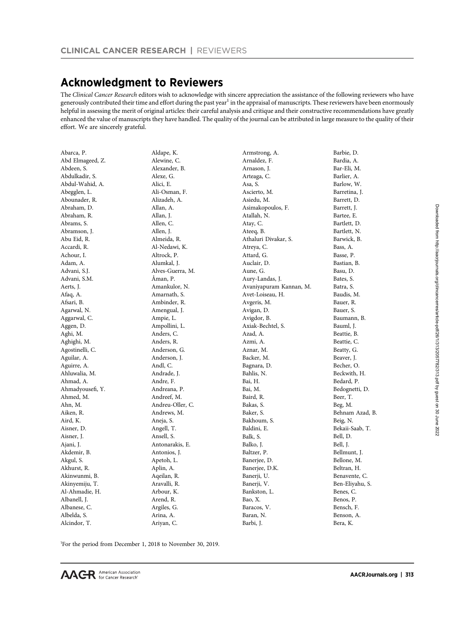# [Acknowledgment to Reviewers](http://crossmark.crossref.org/dialog/?doi=10.1158/1078-0432.CCR-26-1-Reviewers&domain=pdf&date_stamp=2019-12-20)

The Clinical Cancer Research editors wish to acknowledge with sincere appreciation the assistance of the following reviewers who have generously contributed their time and effort during the past year<sup>1</sup> in the appraisal of manuscripts. These reviewers have been enormously helpful in assessing the merit of original articles: their careful analysis and critique and their constructive recommendations have greatly enhanced the value of manuscripts they have handled. The quality of the journal can be attributed in large measure to the quality of their effort. We are sincerely grateful.

| Abarca, P.       | Aldape, K.       | Armstrong, A.           | Barbie, D.      |
|------------------|------------------|-------------------------|-----------------|
| Abd Elmageed, Z. | Alewine, C.      | Arnaldez, F.            | Bardia, A.      |
| Abdeen, S.       | Alexander, B.    | Arnason, J.             | Bar-Eli, M.     |
| Abdulkadir, S.   | Alexe, G.        | Arteaga, C.             | Barlier, A.     |
| Abdul-Wahid, A.  | Alici, E.        | Asa, S.                 | Barlow, W.      |
| Abegglen, L.     | Ali-Osman, F.    | Ascierto, M.            | Barretina, J.   |
| Abounader, R.    | Alizadeh, A.     | Asiedu, M.              | Barrett, D.     |
| Abraham, D.      | Allan, A.        | Asimakopoulos, F.       | Barrett, J.     |
| Abraham, R.      | Allan, J.        | Atallah, N.             | Bartee, E.      |
| Abrams, S.       | Allen, C.        | Atay, C.                | Bartlett, D.    |
| Abramson, J.     | Allen, J.        | Ateeq, B.               | Bartlett, N.    |
| Abu Eid, R.      | Almeida, R.      | Athaluri Divakar, S.    | Barwick, B.     |
| Accardi, R.      | Al-Nedawi, K.    | Atreya, C.              | Bass, A.        |
| Achour, I.       | Altrock, P.      | Attard, G.              | Basse, P.       |
| Adam, A.         | Alumkal, J.      | Auclair, D.             | Bastian, B.     |
| Advani, S.J.     | Alves-Guerra, M. | Aune, G.                | Basu, D.        |
| Advani, S.M.     | Åman, P.         | Aury-Landas, J.         | Bates, S.       |
| Aerts, J.        | Amankulor, N.    | Avaniyapuram Kannan, M. | Batra, S.       |
| Afaq, A.         | Amarnath, S.     | Avet-Loiseau, H.        | Baudis, M.      |
| Afsari, B.       | Ambinder, R.     | Avgeris, M.             | Bauer, R.       |
| Agarwal, N.      | Amengual, J.     | Avigan, D.              | Bauer, S.       |
| Aggarwal, C.     | Ampie, L.        | Avigdor, B.             | Baumann, B.     |
| Aggen, D.        | Ampollini, L.    | Axiak-Bechtel, S.       | Bauml, J.       |
| Aghi, M.         | Anders, C.       | Azad, A.                | Beattie, B.     |
| Aghighi, M.      | Anders, R.       | Azmi, A.                | Beattie, C.     |
| Agostinelli, C.  | Anderson, G.     | Aznar, M.               | Beatty, G.      |
| Aguilar, A.      | Anderson, J.     | Backer, M.              | Beaver, J.      |
| Aguirre, A.      | Andl, C.         | Bagnara, D.             | Becher, O.      |
| Ahluwalia, M.    | Andrade, J.      | Bahlis, N.              | Beckwith, H.    |
| Ahmad, A.        | Andre, F.        | Bai, H.                 | Bedard, P.      |
| Ahmadyousefi, Y. | Andreana, P.     | Bai, M.                 | Bedognetti, D.  |
| Ahmed, M.        | Andreef, M.      | Baird, R.               | Beer, T.        |
| Ahn, M.          | Andreu-Oller, C. | Bakas, S.               | Beg, M.         |
| Aiken, R.        | Andrews, M.      | Baker, S.               | Behnam Azad, B. |
| Aird, K.         | Aneja, S.        | Bakhoum, S.             | Beig, N.        |
| Aisner, D.       | Angell, T.       | Baldini, E.             | Bekaii-Saab, T. |
| Aisner, J.       | Ansell, S.       | Balk, S.                | Bell, D.        |
| Ajani, J.        | Antonarakis, E.  | Balko, J.               | Bell, J.        |
| Akdemir, B.      | Antonios, J.     | Baltzer, P.             | Bellmunt, J.    |
| Akgul, S.        | Apetoh, L.       | Banerjee, D.            | Bellone, M.     |
| Akhurst, R.      | Aplin, A.        | Banerjee, D.K.          | Beltran, H.     |
| Akinwunmi, B.    | Aqeilan, R.      | Banerji, U.             | Benavente, C.   |
| Akinyemiju, T.   | Aravalli, R.     | Banerji, V.             | Ben-Eliyahu, S. |
| Al-Ahmadie, H.   | Arbour, K.       | Bankston, L.            | Benes, C.       |
| Albanell, J.     | Arend, R.        | Bao, X.                 | Benos, P.       |
| Albanese, C.     | Argiles, G.      | Baracos, V.             | Bensch, F.      |
| Albelda, S.      | Arina, A.        | Baran, N.               | Benson, A.      |
| Alcindor, T.     | Ariyan, C.       | Barbi, J.               | Bera, K.        |
|                  |                  |                         |                 |

1 For the period from December 1, 2018 to November 30, 2019.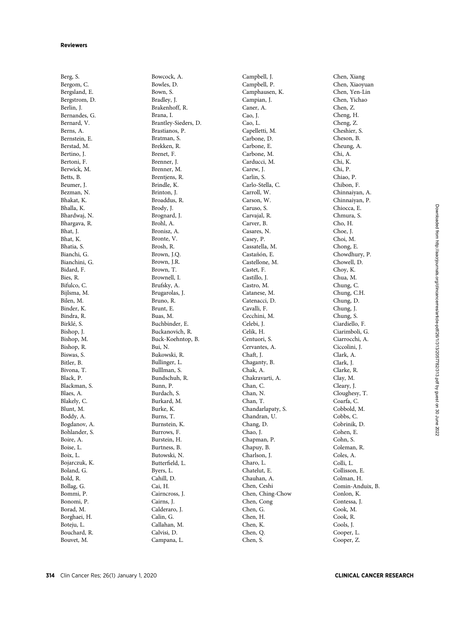Berg, S. Bergom, C. Bergsland, E. Bergstrom, D. Berlin, J. Bernandes, G. Bernard, V. Berns, A. Bernstein, E. Berstad, M. Bertino, J. Bertoni, F. Berwick, M. Betts, B. Beumer, J. Bezman, N. Bhakat, K. Bhalla, K. Bhardwaj, N. Bhargava, R. Bhat, J. Bhat, K. Bhatia, S. Bianchi, G. Bianchini, G. Bidard, F. Bies, R. Bifulco, C. Bijlsma, M. Bilen, M. Binder, K. Bindra, R. Birkl e, S. Bishop, J. Bishop, M. Bishop, R. Biswas, S. Bitler, B. Bivona, T. Black, P. Blackman, S. Blaes, A. Blakely, C. Blunt, M. Boddy, A. Bogdanov, A. Bohlander, S. Boire, A. Boise, L. Boix, L. Bojarczuk, K. Boland, G. Bold, R. Bollag, G. Bommi, P. Bonomi, P. Borad, M. Borghaei, H. Boteju, L. Bouchard, R. Bouvet, M.

Bowcock, A. Bowles, D. Bown, S. Bradley, J. Brakenhoff, R. Brana, I. Brantley-Sieders, D. Brastianos, P. Bratman, S. Brekken, R. Brenet, F. Brenner, J. Brenner, M. Brentjens, R. Brindle, K. Brinton, J. Broaddus, R. Brody, J. Brognard, J. Brohl, A. Bronisz, A. Bronte, V. Brosh, R. Brown, J.Q. Brown, J.R. Brown, T. Brownell, I. Brufsky, A. Brugarolas, J. Bruno, R. Brunt, E. Buas, M. Buchbinder, E. Buckanovich, R. Buck-Koehntop, B. Bui, N. Bukowski, R. Bullinger, L. Bulllman, S. Bundschuh, R. Bunn, P. Burdach, S. Burkard, M. Burke, K. Burns, T. Burnstein, K. Burrows, F. Burstein, H. Burtness, B. Butowski, N. Butter field, L. Byers, L. Cahill, D. Cai, H. Cairncross, J. Cairns, J. Calderaro, J. Calin, G. Callahan, M. Calvisi, D. Campana, L.

Campbell, J. Campbell, P. Camphausen, K. Campian, J. Caner, A. Cao, J. Cao, L. Capelletti, M. Carbone, D. Carbone, E. Carbone, M. Carducci, M. Carew, J. Carlin, S. Carlo-Stella, C. Carroll, W. Carson, W. Caruso, S. Carvajal, R. Carver, B. Casares, N. Casey, P. Cassatella, M. Castañón, E. Castellone, M. Castet, F. Castillo, J. Castro, M. Catanese, M. Catenacci, D. Cavalli, F. Cecchini, M. Celebi, J. Celik, H. Centuori, S. Cervantes, A. Chaft, J. Chaganty, B. Chak, A. Chakravarti, A. Chan, C. Chan, N. Chan, T. Chandarlapaty, S. Chandran, U. Chang, D. Chao, J. Chapman, P. Chapuy, B. Charlson, J. Charo, L. Chatelut, E. Chauhan, A. Chen, Ceshi Chen, Ching-Chow Chen, Cong Chen, G. Chen, H. Chen, K. Chen, Q. Chen, S.

Chen, Xiang Chen, Xiaoyuan Chen, Yen-Lin Chen, Yichao Chen, Z. Cheng, H. Cheng, Z. Cheshier, S. Cheson, B. Cheung, A. Chi, A. Chi, K. Chi, P. Chiao, P. Chibon, F. Chinnaiyan, A. Chinnaiyan, P. Chiocca, E. Chmura, S. Cho, H. Choe, J. Choi, M. Chong, E. Chowdhury, P. Chowell, D. Choy, K. Chua, M. Chung, C. Chung, C.H. Chung, D. Chung, J. Chung, S. Ciardiello, F. Ciarimboli, G. Ciarrocchi, A. Ciccolini, J. Clark, A. Clark, J. Clarke, R. Clay, M. Cleary, J. Cloughesy, T. Coarfa, C. Cobbold, M. Cobbs, C. Cobrinik, D. Cohen, E. Cohn, S. Coleman, R. Coles, A. Colli, L. Collisson, E. Colman, H. Comin-Anduix, B. Conlon, K. Contessa, J. Cook, M. Cook, R. Cools, J. Cooper, L. Cooper, Z.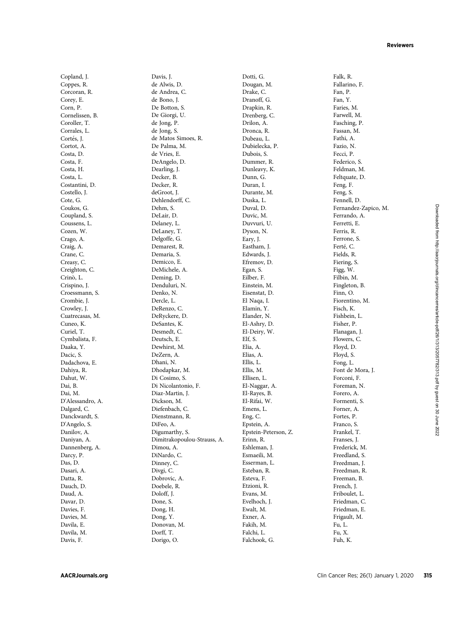Copland, J. Coppes, R. Corcoran, R. Corey, E. Corn, P. Cornelissen, B. Coroller, T. Corrales, L. Cortés, J. Cortot, A. Costa, D. Costa, F. Costa, H. Costa, L. Costantini, D. Costello, J. Cote, G. Coukos, G. Coupland, S. Coussens, L. Cozen, W. Crago, A. Craig, A. Crane, C. Creasy, C. Creighton, C. Crinò, L. Crispino, J. Croessmann, S. Crombie, J. Crowley, J. Cuatrecasas, M. Cuneo, K. Curiel, T. Cymbalista, F. Daaka, Y. Dacic, S. Dadachova, E. Dahiya, R. Dahut, W. Dai, B. Dai, M. D'Alessandro, A. Dalgard, C. Danckwardt, S. D'Angelo, S. Danilov, A. Daniyan, A. Dannenberg, A. Darcy, P. Das, D. Dasari, A. Datta, R. Dauch, D. Daud, A. Davar, D. Davies, F. Davies, M. Davila, E. Davila, M. Davis, F.

Davis, J. de Alwis, D. de Andrea, C. de Bono, J. De Botton, S. De Giorgi, U. de Jong, P. de Jong, S. de Matos Simoes, R. De Palma, M. de Vries, E. DeAngelo, D. Dearling, J. Decker, B. Decker, R. deGroot, J. Dehlendorff, C. Dehm, S. DeLair, D. Delaney, L. DeLaney, T. Delgoffe, G. Demarest, R. Demaria, S. Demicco, E. DeMichele, A. Deming, D. Denduluri, N. Denko, N. Dercle, L. DeRenzo, C. DeRyckere, D. DeSantes, K. Desmedt, C. Deutsch, E. Dewhirst, M. DeZern, A. Dhani, N. Dhodapkar, M. Di Cosimo, S. Di Nicolantonio, F. Diaz-Martin, J. Dickson, M. Diefenbach, C. Dienstmann, R. DiFeo, A. Digumarthy, S. Dimitrakopoulou-Strauss, A. Dimou, A. DiNardo, C. Dinney, C. Divgi, C. Dobrovic, A. Doebele, R. Doloff, J. Done, S. Dong, H. Dong, Y. Donovan, M. Dorff, T. Dorigo, O.

Dotti, G. Dougan, M. Drake, C. Dranoff, G. Drapkin, R. Drenberg, C. Drilon, A. Dronca, R. Dubeau, L. Dubielecka, P. Dubois, S. Dummer, R. Dunleavy, K. Dunn, G. Duran, I. Durante, M. Duska, L. Duval, D. Duvic, M. Duvvuri, U. Dyson, N. Eary, J. Eastham, J. Edwards, J. Efremov, D. Egan, S. Eilber, F. Einstein, M. Eisenstat, D. El Naqa, I. Elamin, Y. Elander, N. El-Ashry, D. El-Deiry, W. Elf, S. Elia, A. Elias, A. Ellis, L. Ellis, M. Ellisen, L. El-Naggar, A. El-Rayes, B. El-Rifai, W. Emens, L. Eng, C. Epstein, A. Epstein-Peterson, Z. Erinn, R. Eshleman, J. Esmaeili, M. Esserman, L. Esteban, R. Esteva, F. Etzioni, R. Evans, M. Evelhoch, J. Ewalt, M. Exner, A. Fakih, M. Falchi, L. Falchook, G.

Falk, R. Fallarino, F. Fan, P. Fan, Y. Faries, M. Farwell, M. Fasching, P. Fassan, M. Fathi, A. Fazio, N. Fecci, P. Federico, S. Feldman, M. Feltquate, D. Feng, F. Feng, S. Fennell, D. Fernandez-Zapico, M. Ferrando, A. Ferretti, E. Ferris, R. Ferrone, S. Ferté, C. Fields, R. Fiering, S. Figg, W. Filbin, M. Fingleton, B. Finn, O. Fiorentino, M. Fisch, K. Fishbein, L. Fisher, P. Flanagan, J. Flowers, C. Floyd, D. Floyd, S. Fong, L. Font de Mora, J. Forconi, F. Foreman, N. Forero, A. Formenti, S. Forner, A. Fortes, P. Franco, S. Frankel, T. Franses, J. Frederick, M. Freedland, S. Freedman, J. Freedman, R. Freeman, B. French, J. Friboulet, L. Friedman, C. Friedman, E. Frigault, M. Fu, L. Fu, X. Fuh, K.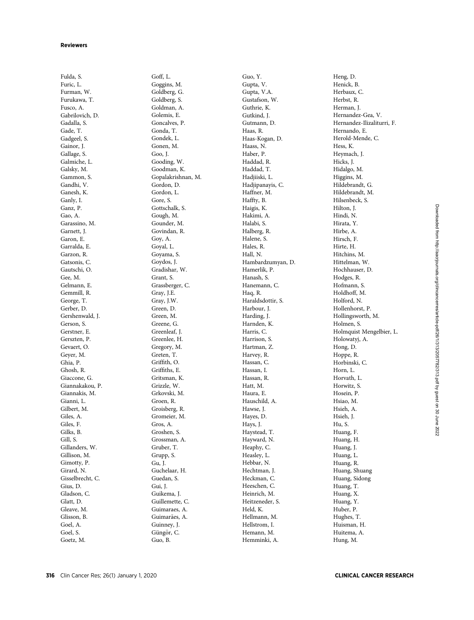Fulda, S. Furic, L. Furman, W. Furukawa, T. Fusco, A. Gabrilovich, D. Gadalla, S. Gade, T. Gadgeel, S. Gainor, J. Gallage, S. Galmiche, L. Galsky, M. Gammon, S. Gandhi, V. Ganesh, K. Ganly, I. Ganz, P. Gao, A. Garassino, M. Garnett, J. Garon, E. Garralda, E. Garzon, R. Gatsonis, C. Gautschi, O. Gee, M. Gelmann, E. Gemmill, R. George, T. Gerber, D. Gershenwald, J. Gerson, S. Gerstner, E. Gerszten, P. Gevaert, O. Geyer, M. Ghia, P. Ghosh, R. Giaccone, G. Giannakakou, P. Giannakis, M. Gianni, L. Gilbert, M. Giles, A. Giles, F. Gilks, B. Gill, S. Gillanders, W. Gillison, M. Gimotty, P. Girard, N. Gisselbrecht, C. Gius, D. Gladson, C. Glatt, D. Gleave, M. Glisson, B. Goel, A. Goel, S. Goetz, M.

Goff, L. Goggins, M. Goldberg, G. Goldberg, S. Goldman, A. Golemis, E. Goncalves, P. Gonda, T. Gondek, L. Gonen, M. Goo, J. Gooding, W. Goodman, K. Gopalakrishnan, M. Gordon, D. Gordon, L. Gore, S. Gottschalk, S. Gough, M. Gounder, M. Govindan, R. Goy, A. Goyal, L. Goyama, S. Goydos, J. Gradishar, W. Grant, S. Grassberger, C. Gray, J.E. Gray, J.W. Green, D. Green, M. Greene, G. Greenleaf, J. Greenlee, H. Gregory, M. Greten, T. Griffith, O. Griffiths, E. Gritsman, K. Grizzle, W. Grkovski, M. Groen, R. Groisberg, R. Gromeier, M. Gros, A. Groshen, S. Grossman, A. Gruber, T. Grupp, S. Gu, J. Guchelaar, H. Guedan, S. Gui, J. Guikema, J. Guillemette, C. Guimaraes, A. Guimarães, A. Guinney, J. Güngör, C. Guo, B.

Guo, Y. Gupta, V. Gupta, V.A. Gustafson, W. Guthrie, K. Gutkind, J. Gutmann, D. Haas, R. Haas-Kogan, D. Haass, N. Haber, P. Haddad, R. Haddad, T. Hadjiiski, L. Hadjipanayis, C. Haffner, M. Haffty, B. Haigis, K. Hakimi, A. Halabi, S. Halberg, R. Halene, S. Hales, R. Hall, N. Hambardzumyan, D. Hamerlik, P. Hanash, S. Hanemann, C. Haq, R. Haraldsdottir, S. Harbour, J. Harding, J. Harnden, K. Harris, C. Harrison, S. Hartman, Z. Harvey, R. Hassan, C. Hassan, I. Hassan, R. Hatt, M. Haura, E. Hauschild, A. Hawse, J. Hayes, D. Hays, J. Haystead, T. Hayward, N. Heaphy, C. Heasley, L. Hebbar, N. Hechtman, J. Heckman, C. Heeschen, C. Heinrich, M. Heitzeneder, S. Held, K. Hellmann, M. Hellstrom, I. Hemann, M. Hemminki, A.

Heng, D. Henick, B. Herbaux, C. Herbst, R. Herman, J. Hernandez-Gea, V. Hernandez-Ilizaliturri, F. Hernando, E. Herold-Mende, C. Hess, K. Heymach, J. Hicks, J. Hidalgo, M. Higgins, M. Hildebrandt, G. Hildebrandt, M. Hilsenbeck, S. Hilton, J. Hindi, N. Hirata, Y. Hirbe, A. Hirsch, F. Hirte, H. Hitchins, M. Hittelman, W. Hochhauser, D. Hodges, R. Hofmann, S. Holdhoff, M. Holford, N. Hollenhorst, P. Hollingsworth, M. Holmen, S. Holmquist Mengelbier, L. Holowatyj, A. Hong, D. Hoppe, R. Horbinski, C. Horn, L. Horvath, L. Horwitz, S. Hosein, P. Hsiao, M. Hsieh, A. Hsieh, J. Hu, S. Huang, F. Huang, H. Huang, J. Huang, L. Huang, R. Huang, Shuang Huang, Sidong Huang, T. Huang, X. Huang, Y. Huber, P. Hughes, T. Huisman, H. Huitema, A. Hung, M.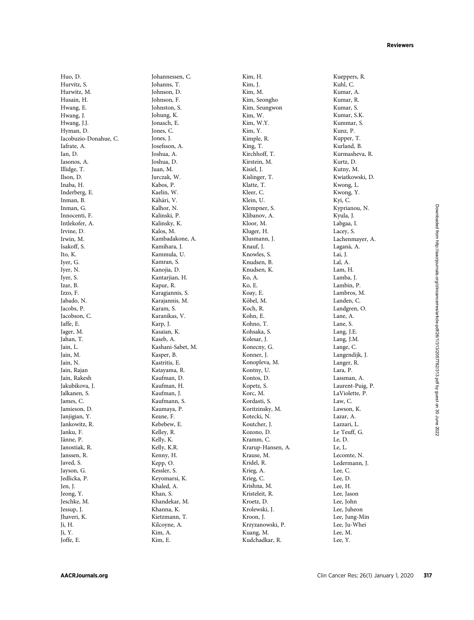Huo, D. Hurvitz, S. Hurwitz, M. Husain, H. Hwang, E. Hwang, J. Hwang, J.J. Hyman, D. Iacobuzio-Donahue, C. Iafrate, A. Ian, D. Iasonos, A. Illidge, T. Ilson, D. Inaba, H. Inderberg, E. Inman, B. Inman, G. Innocenti, F. Intlekofer, A. Irvine, D. Irwin, M. Isakoff, S. Ito, K. Iyer, G. Iyer, N. Iyer, S. Izar, B. Izzo, F. Jabado, N. Jacobs, P. Jacobson, C. Jaffe, E. Jager, M. Jahan, T. Jain, L. Jain, M. Jain, N. Jain, Rajan Jain, Rakesh Jakubikova, J. Jalkanen, S. James, C. Jamieson, D. Janjigian, Y. Jankowitz, R. Janku, F. Jänne, P. Janostiak, R. Janssen, R. Javed, S. Jayson, G. Jedlicka, P. Jen, J. Jeong, Y. Jeschke, M. Jessup, J. Jhaveri, K. Ji, H. Ji, Y. Joffe, E.

Johannessen, C. Johanns, T. Johnson, D. Johnson, F. Johnston, S. Johung, K. Jonasch, E. Jones, C. Jones, J. Josefsson, A. Joshua, A. Joshua, D. Juan, M. Jurczak, W. Kabos, P. Kaelin, W. Kähäri, V. Kalhor, N. Kalinski, P. Kalinsky, K. Kalos, M. Kambadakone, A. Kamihara, J. Kammula, U. Kamran, S. Kanojia, D. Kantarjian, H. Kapur, R. Karagiannis, S. Karajannis, M. Karam, S. Karanikas, V. Karp, J. Kasaian, K. Kaseb, A. Kashani-Sabet, M. Kasper, B. Kastritis, E. Katayama, R. Kaufman, D. Kaufman, H. Kaufman, J. Kaufmann, S. Kaumaya, P. Keane, F. Kebebew, E. Kelley, R. Kelly, K. Kelly, K.R. Kenny, H. Kepp, O. Kessler, S. Keyomarsi, K. Khaled, A. Khan, S. Khandekar, M. Khanna, K. Kietzmann, T. Kilcoyne, A. Kim, A. Kim, E.

Kim, H. Kim, J. Kim, M. Kim, Seongho Kim, Seungwon Kim, W. Kim, W.Y. Kim, Y. Kimple, R. King, T. Kirchhoff, T. Kirstein, M. Kisiel, J. Kislinger, T. Klatte, T. Kleer, C. Klein, U. Klempner, S. Klibanov, A. Kloor, M. Kluger, H. Klusmann, J. Knauf, J. Knowles, S. Knudsen, B. Knudsen, K. Ko, A. Ko, E. Koay, E. Köbel, M. Koch, R. Kohn, E. Kohno, T. Kohsaka, S. Kolesar, J. Konecny, G. Konner, J. Konopleva, M. Kontny, U. Kontos, D. Kopetz, S. Korc, M. Kordasti, S. Koritzinsky, M. Kotecki, N. Koutcher, J. Kozono, D. Kramm, C. Krarup-Hansen, A. Krause, M. Kridel, R. Krieg, A. Krieg, C. Krishna, M. Kristeleit, R. Kroetz, D. Krolewski, J. Kroon, J. Krzyzanowski, P. Kuang, M. Kudchadkar, R.

Kueppers, R. Kuhl, C. Kumar, A. Kumar, R. Kumar, S. Kumar, S.K. Kummar, S. Kunz, P. Kupper, T. Kurland, B. Kurmasheva, R. Kurtz, D. Kutny, M. Kwiatkowski, D. Kwong, L. Kwong, Y. Kyi, C. Kyprianou, N. Kyula, J. Labgaa, I. Lacey, S. Lachenmayer, A. Lagan a, A. Lai, J. Lal, A. Lam, H. Lamba, J. Lambin, P. Lambros, M. Landen, C. Landgren, O. Lane, A. Lane, S. Lang, J.E. Lang, J.M. Lange, C. Langendijk, J. Langer, R. Lara, P. Lassman, A. Laurent-Puig, P. LaViolette, P. Law, C. Lawson, K. Lazar, A. Lazzari, L. Le Teuff, G. Le, D. Le, L. Lecomte, N. Ledermann, J. Lee, C. Lee, D. Lee, H. Lee, Jason Lee, John Lee, Juheon Lee, Jung-Min Lee, Ju-Whei Lee, M. Lee, Y.

Downloaded from http://aacrjournals.org/clincancerres/article-pdf/26/1/313/2057782/313.pdf by guest on 30 June Downloaded from http://aacrjournals.org/clincancerres/article-pdf/26/1/313/2057782/313.pdf by guest on 30 June 20222022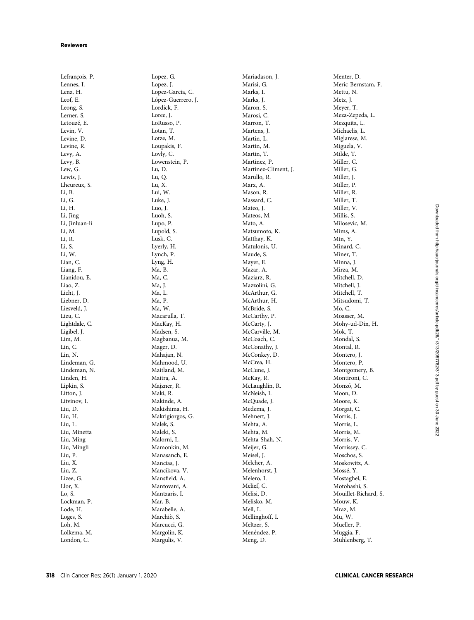Lefrancois, P. Lennes, I. Lenz, H. Leof, E. Leong, S. Lerner, S. Letouzé, E. Levin, V. Levine, D. Levine, R. Levy, A. Levy, B. Lew, G. Lewis, J. Lheureux, S. Li, B. Li, G. Li, H. Li, Jing Li, Jinluan-li Li, M. Li, R. Li, S. Li, W. Lian, C. Liang, F. Lianidou, E. Liao, Z. Licht, J. Liebner, D. Liesveld, J. Lieu, C. Lightdale, C. Ligibel, J. Lim, M. Lin, C. Lin, N. Lindeman, G. Lindeman, N. Linden, H. Lipkin, S. Litton, J. Litvinov, I. Liu, D. Liu, H. Liu, L. Liu, Minetta Liu, Ming Liu, Mingli Liu, P. Liu, X. Liu, Z. Lizee, G. Llor, X. Lo, S. Lockman, P. Lode, H. Loges, S. Loh, M. Lolkema, M. London, C.

Lopez, G. Lopez, J. Lopez-Garcia, C. López-Guerrero, J. Lordick, F. Loree, J. LoRusso, P. Lotan, T. Lotze, M. Loupakis, F. Lovly, C. Lowenstein, P. Lu, D. Lu, Q. Lu, X. Lui, W. Luke, J. Luo, J. Luoh, S. Lupo, P. Lupold, S. Lusk, C. Lyerly, H. Lynch, P. Lyng, H. Ma, B. Ma, C. Ma, J. Ma, L. Ma, P. Ma, W. Macarulla, T. MacKay, H. Madsen, S. Magbanua, M. Mager, D. Mahajan, N. Mahmood, U. Maitland, M. Maitra, A. Majzner, R. Maki, R. Makinde, A. Makishima, H. Makrigiorgos, G. Malek, S. Maleki, S. Malorni, L. Mamonkin, M. Manasanch, E. Mancias, J. Mancikova, V. Mans field, A. Mantovani, A. Mantzaris, I. Mar, B. Marabelle, A. Marchiò, S. Marcucci, G. Margolin, K. Margulis, V.

Mariadason, J. Marisi, G. Marks, I. Marks, J. Maron, S. Marosi<sub>C</sub>. Marron, T. Martens, J. Martin, L. Martín, M. Martin, T. Martinez, P. Martinez-Climent, J. Marullo, R. Marx, A. Mason, R. Massard, C. Mateo, J. Mateos, M. Mato, A. Matsumoto, K. Matthay, K. Matulonis, U. Maude, S. Mayer, E. Mazar, A. Maziarz, R. Mazzolini, G. McArthur, G. McArthur, H. McBride, S. McCarthy, P. McCarty, J. McCarville, M. McCoach, C. McConathy, J. McConkey, D. McCrea, H. McCune, J. McKay, R. McLaughlin, R. McNeish, I. McQuade, J. Medema, J. Mehnert, J. Mehta, A. Mehta, M. Mehta-Shah, N. Meijer, G. Meisel, J. Melcher, A. Melenhorst, J. Melero, I. Melief, C. Melisi, D. Melisko, M. Mell, L. Mellinghoff, I. Meltzer, S. Menéndez, P. Meng, D.

Menter, D. Meric-Bernstam, F. Mettu, N. Metz, J. Meyer, T. Meza-Zepeda, L. Mezquita, L. Michaelis, L. Miglarese, M. Miguela, V. Milde, T. Miller, C. Miller, G. Miller, J. Miller, P. Miller, R. Miller, T. Miller, V. Millis, S. Milosevic, M. Mims, A. Min, Y. Minard, C. Miner, T. Minna, J. Mirza, M. Mitchell, D. Mitchell, J. Mitchell, T. Mitsudomi, T. Mo, C. Moasser, M. Mohy-ud-Din, H. Mok, T. Mondal, S. Montal, R. Montero, J. Montero, P. Montgomery, B. Montironi, C. Monzó, M. Moon, D. Moore, K. Morgat, C. Morris, J. Morris, L. Morris, M. Morris, V. Morrissey, C. Moschos, S. Moskowitz, A. Moss e, Y. Mostaghel, E. Motohashi, S. Mouillet-Richard, S. Mouw, K. Mraz, M. Mu, W. Mueller, P. Muggia, F. Mühlenberg, T.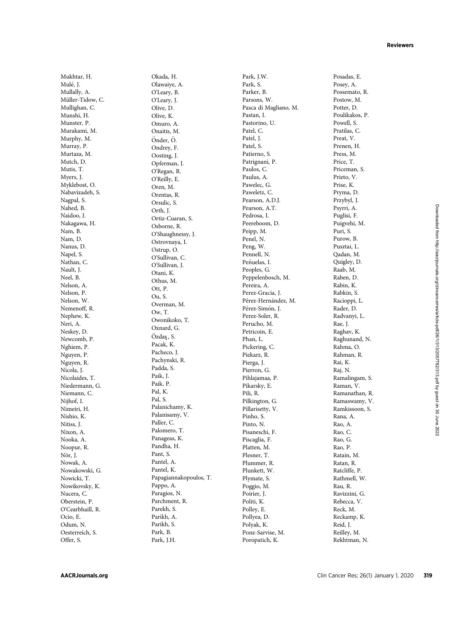Mukhtar, H. Mulé, J. Mullally, A. Müller-Tidow, C. Mullighan, C. Munshi, H. Munster, P. Murakami, M. Murphy, M. Murray, P. Murtaza, M. Mutch, D. Mutis, T. Myers, J. Myklebost, O. Nabavizadeh, S. Nagpal, S. Nahed, B. Naidoo, J. Nakagawa, H. Nam, B. Nam, D. Nanus, D. Napel, S. Nathan, C. Nault, J. Neel, B. Nelson, A. Nelson, P. Nelson, W. Nemenoff, R. Nephew, K. Neri, A. Neskey, D. Newcomb, P. Nghiem, P. Nguyen, P. Nguyen, R. Nicola, J. Nicolaides, T. Niedermann, G. Niemann, C. Nijhof, I. Nimeiri, H. Nishio, K. Nitiss, J. Nixon, A. Nooka, A. Noopur, R. Nör, J. Nowak, A. Nowakowski, G. Nowicki, T. Nowikovsky, K. Nucera, C. Oberstein, P. O'Cearbhaill, R. Ocio, E. Odum, N. Oesterreich, S. Offer, S.

Okada, H. Olawaiye, A. O'Leary, B. O'Leary, J. Olive, D. Olive, K. Omuro, A. Onaitis, M. Önder, Ö. Ondrey, F. Oosting, J. Opferman, J. O'Regan, R. O'Reilly, E. Oren, M. Orentas, R. Orsulic, S. Orth, J. Ortiz-Cuaran, S. Osborne, R. O'Shaughnessy, J. Ostrovnaya, I. Østrup, O. O'Sullivan, C. O'Sullivan, J. Otani, K. Othus, M. Ott, P. Ou, S. Overman, M. Ow, T. Owonikoko, T. Oxnard, G. Özdaş, S. Pacak, K. Pacheco, J. Pachynski, R. Padda, S. Paik, J. Paik, P. Pal, K. Pal, S. Palanichamy, K. Palanisamy, V. Paller, C. Palomero, T. Panageas, K. Pandha, H. Pant, S. Pantel, A. Pantel, K. Papagiannakopoulos, T. Pappo, A. Paragios, N. Parchment, R. Parekh, S. Parikh, A. Parikh, S. Park, B. Park, J.H.

Park, J.W. Park, S. Parker, B. Parsons, W. Pasca di Magliano, M. Pastan, I. Pastorino, U. Patel, C. Patel, J. Patel, S. Patierno, S. Patrignani, P. Paulos, C. Paulus, A. Pawelec, G. Paweletz, C. Pearson, A.D.J. Pearson, A.T. Pedrosa, I. Peereboom, D. Peipp, M. Penel, N. Peng, W. Pennell, N. Peñuelas, I. Peoples, G. Peppelenbosch, M. Pereira, A. Perez-Gracia, J. Pérez-Hernández, M. Pérez-Simón, J. Perez-Soler, R. Perucho, M. Petricoin, E. Phan, L. Pickering, C. Piekarz, R. Pierga, J. Pierron, G. Pihlajamaa, P. Pikarsky, E. Pili, R. Pilkington, G. Pillarisetty, V. Pinho, S. Pinto, N. Pisaneschi, F. Piscaglia, F. Platten, M. Plesner, T. Plummer, R. Plunkett, W. Plymate, S. Poggio, M. Poirier, J. Politi, K. Polley, E. Pollyea, D. Polyak, K. Ponz-Sarvise, M. Poropatich, K.

Posadas, E. Posey, A. Possemato, R. Postow, M. Potter, D. Poulikakos, P. Powell, S. Pratilas, C. Preat, V. Prenen, H. Press, M. Price, T. Priceman, S. Prieto, V. Prise, K. Pryma, D. Przybyl, J. Psyrri, A. Puglisi, F. Puigvehi, M. Puri, S. Purow, B. Pusztai, L. Qadan, M. Quigley, D. Raab, M. Raben, D. Rabin, K. Rabkin, S. Racioppi, L. Rader, D. Radvanyi, L. Rae, J. Raghav, K. Raghunand, N. Rahma, O. Rahman, R. Rai, K. Raj, N. Ramalingam, S. Raman, V. Ramanathan, R. Ramaswamy, V. Ramkissoon, S. Rana, A. Rao, A. Rao, C. Rao, G. Rao, P. Ratain, M. Ratan, R. Ratcliffe, P. Rathmell, W. Rau, R. Ravizzini, G. Rebecca, V. Reck, M. Reckamp, K. Reid, J. Reilley, M. Rekhtman, N.

Downloaded from http://aacrjournals.org/clincancerres/article-pdf/26/1/313/2057782/313.pdf by guest on 30 June Downloaded from http://aacrjournals.org/clincancerres/article-pdf/26/1/313/2057782/313.pdf by guest on 30 June 20222022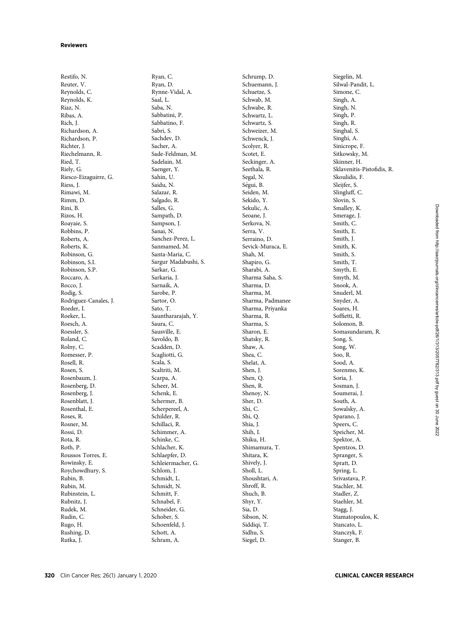Restifo, N. Reuter, V. Reynolds, C. Reynolds, K. Riaz, N. Ribas, A. Rich, J. Richardson, A. Richardson, P. Richter, J. Riechelmann, R. Ried, T. Riely, G. Riesco-Eizaguirre, G. Riess, J. Rimawi, M. Rimm, D. Rini, B. Rizos, H. Roayaie, S. Robbins, P. Roberts, A. Roberts, K. Robinson, G. Robinson, S.I. Robinson, S.P. Roccaro, A. Rocco, J. Rodig, S. Rodriguez-Canales, J. Roeder, I. Roeker, L. Roesch, A. Roessler, S. Roland, C. Rolny, C. Romesser, P. Rosell, R. Rosen, S. Rosenbaum, J. Rosenberg, D. Rosenberg, J. Rosenblatt, J. Rosenthal, E. Roses, R. Rosner, M. Rossi, D. Rota, R. Roth, P. Roussos Torres, E. Rowinsky, E. Roychowdhury, S. Rubin, B. Rubin, M. Rubinstein, L. Rubnitz, J. Rudek, M. Rudin, C. Rugo, H. Rushing, D. Rutka, J.

Ryan, C. Ryan, D. Rynne-Vidal, A. Saal, L. Saba, N. Sabbatini, P. Sabbatino, F. Sabri, S. Sachdev, D. Sacher, A. Sade-Feldman, M. Sadelain, M. Saenger, Y. Sahin, U. Saidu, N. Salazar, R. Salgado, R. Salles, G. Sampath, D. Sampson, J. Sanai, N. Sanchez-Perez, L. Sanmamed, M. Santa-Maria, C. Sargur Madabushi, S. Sarkar, G. Sarkaria, J. Sarnaik, A. Sarobe, P. Sartor, O. Sato, T. Saunthararajah, Y. Saura, C. Sausville, E. Savoldo, B. Scadden, D. Scagliotti, G. Scala, S. Scaltriti, M. Scarpa, A. Scheer, M. Schenk, E. Schermer, B. Scherpereel, A. Schilder, R. Schillaci, R. Schimmer, A. Schinke, C. Schlacher, K. Schlaepfer, D. Schleiermacher, G. Schlom, J. Schmidt, L. Schmidt, N. Schmitt, F. Schnabel, F. Schneider, G. Schober, S. Schoenfeld, J. Schott, A. Schram, A.

Schrump, D. Schuemann, J. Schuetze, S. Schwab, M. Schwabe, R. Schwartz, L. Schwartz, S. Schweizer, M. Schwenck, J. Scolyer, R. Scotet, E. Seckinger, A. Seethala, R. Segal, N. Segui, B. Seiden, M. Sekido, Y. Sekulic, A. Seoane, J. Serkova, N. Serra, V. Serraino, D. Sevick-Muraca, E. Shah, M. Shapiro, G. Sharabi, A. Sharma Saha, S. Sharma, D. Sharma, M. Sharma, Padmanee Sharma, Priyanka Sharma, R. Sharma, S. Sharon, E. Shatsky, R. Shaw, A. Shea, C. Shelat, A. Shen, J. Shen, Q. Shen, R. Shenoy, N. Sher, D. Shi, C. Shi, Q. Shia, J. Shih, I. Shiku, H. Shimamura, T. Shitara, K. Shively, J. Sholl, L. Shoushtari, A. Shroff, R. Shuch, B. Shyr, Y. Sia, D. Sibson, N. Siddiqi, T. Sidhu, S. Siegel, D.

Siegelin, M. Silwal-Pandit, L. Simone, C. Singh, A. Singh, N. Singh, P. Singh, R. Singhal, S. Singhi, A. Sinicrope, F. Sitkowsky, M. Skinner, H. Sklavenitis-Pisto fidis, R. Skoulidis, F. Sleijfer, S. Slingluff, C. Slovin, S. Smalley, K. Smerage, J. Smith, C. Smith, E. Smith, J. Smith, K. Smith, S. Smith, T. Smyth, E. Smyth, M. Snook, A. Snuderl, M. Snyder, A. Soares, H. Soffietti, R. Solomon, B. Somasundaram, R. Song, S. Song, W. Soo, R. Sood, A. Sorenmo, K. Soria, J. Sosman, J. Soumerai, J. South, A. Sowalsky, A. Sparano, J. Speers, C. Speicher, M. Spektor, A. Spentzos, D. Spranger, S. Spratt, D. Spring, L. Srivastava, P. Stachler, M. Stadler, Z. Staehler, M. Stagg, J. Stamatopoulos, K. Stancato, L. Stanczyk, F. Stanger, B.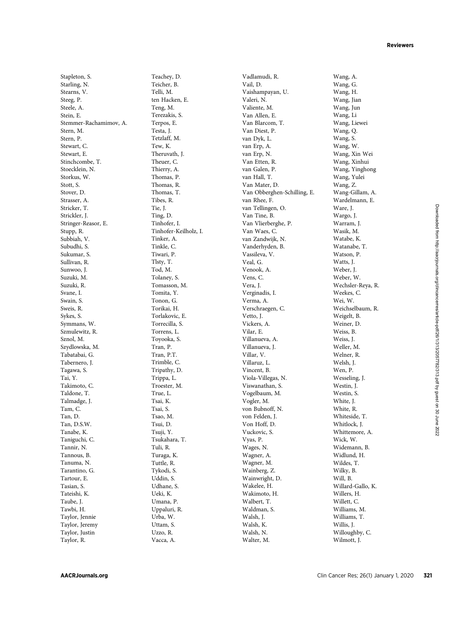Stapleton, S. Starling, N. Stearns, V. Steeg, P. Steele, A. Stein, E. Stemmer-Rachamimov, A. Stern, M. Stern, P. Stewart, C. Stewart, E. Stinchcombe, T. Stoecklein, N. Storkus, W. Stott, S. Stover, D. Strasser, A. Stricker, T. Strickler, J. Stringer-Reasor, E. Stupp, R. Subbiah, V. Subudhi, S. Sukumar, S. Sullivan, R. Sunwoo, J. Suzuki, M. Suzuki, R. Svane, I. Swain, S. Sweis, R. Sykes, S. Symmans, W. Szmulewitz, R. Sznol, M. Szydlowska, M. Tabatabai, G. Tabernero, J. Tagawa, S. Tai, Y. Takimoto, C. Taldone, T. Talmadge, J. Tam, C. Tan, D. Tan, D.S.W. Tanabe, K. Taniguchi, C. Tannir, N. Tannous, B. Tanuma, N. Tarantino, G. Tartour, E. Tasian, S. Tateishi, K. Taube, J. Tawbi, H. Taylor, Jennie Taylor, Jeremy Taylor, Justin Taylor, R.

Teachey, D. Teicher, B. Telli, M. ten Hacken, E. Teng, M. Terezakis, S. Terpos, E. Testa, J. Tetzlaff, M. Tew, K. Theruvath, J. Theuer, C. Thierry, A. Thomas, P. Thomas, R. Thomas, T. Tibes, R. Tie, J. Ting, D. Tinhofer, I. Tinhofer-Keilholz, I. Tinker, A. Tinkle, C. Tiwari, P. Tlsty, T. Tod, M. Tolaney, S. Tomasson, M. Tomita, Y. Tonon, G. Torikai, H. Torlakovic, E. Torrecilla, S. Torrens, L. Toyooka, S. Tran, P. Tran, P.T. Trimble, C. Tripathy, D. Trippa, L. Troester, M. True, L. Tsai, K. Tsai, S. Tsao, M. Tsui, D. Tsuji, Y. Tsukahara, T. Tuli, R. Turaga, K. Tuttle, R. Tykodi, S. Uddin, S. Udhane, S. Ueki, K. Umana, P. Uppaluri, R. Urba, W. Uttam, S. Uzzo, R. Vacca, A.

Vadlamudi, R. Vail, D. Vaishampayan, U. Valeri, N. Valiente, M. Van Allen, E. Van Blarcom, T. Van Diest, P. van Dyk, L. van Erp, A. van Erp, N. Van Etten, R. van Galen, P. van Hall, T. Van Mater, D. Van Obberghen-Schilling, E. van Rhee, F. van Tellingen, O. Van Tine, B. Van Vlierberghe, P. Van Waes, C. van Zandwijk, N. Vanderhyden, B. Vassileva, V. Veal, G. Venook, A. Vens, C. Vera, J. Verginadis, I. Verma, A. Verschraegen, C. Vetto, J. Vickers, A. Vilar, E. Villanueva, A. Villanueva, J. Villar, V. Villaruz, L. Vincent, B. Viola-Villegas, N. Viswanathan, S. Vogelbaum, M. Vogler, M. von Bubnoff, N. von Felden, J. Von Hoff, D. Vuckovic, S. Vyas, P. Wages, N. Wagner, A. Wagner, M. Wainberg, Z. Wainwright, D. Wakelee, H. Wakimoto, H. Walbert, T. Waldman, S. Walsh, J. Walsh, K. Walsh, N. Walter, M.

Wang, A. Wang, G. Wang, H. Wang, Jian Wang, Jun Wang, Li Wang, Liewei Wang, Q. Wang, S. Wang, W. Wang, Xin Wei Wang, Xinhui Wang, Yinghong Wang, Yulei Wang, Z. Wang-Gillam, A. Wardelmann, E. Ware, J. Wargo, J. Warram, J. Wasik, M. Watabe, K. Watanabe, T. Watson, P. Watts, J. Weber, J. Weber, W. Wechsler-Reya, R. Weekes, C. Wei, W. Weichselbaum, R. Weigelt, B. Weiner, D. Weiss, B. Weiss, J. Weller, M. Welner, R. Welsh, J. Wen, P. Wesseling, J. Westin, J. Westin, S. White, J. White, R. Whiteside, T. Whitlock, J. Whittemore, A. Wick, W. Widemann, B. Widlund, H. Wildes, T. Wilky, B. Will, B. Willard-Gallo, K. Willers, H. Willett, C. Williams, M. Williams, T. Willis, J. Willoughby, C. Wilmott, J.